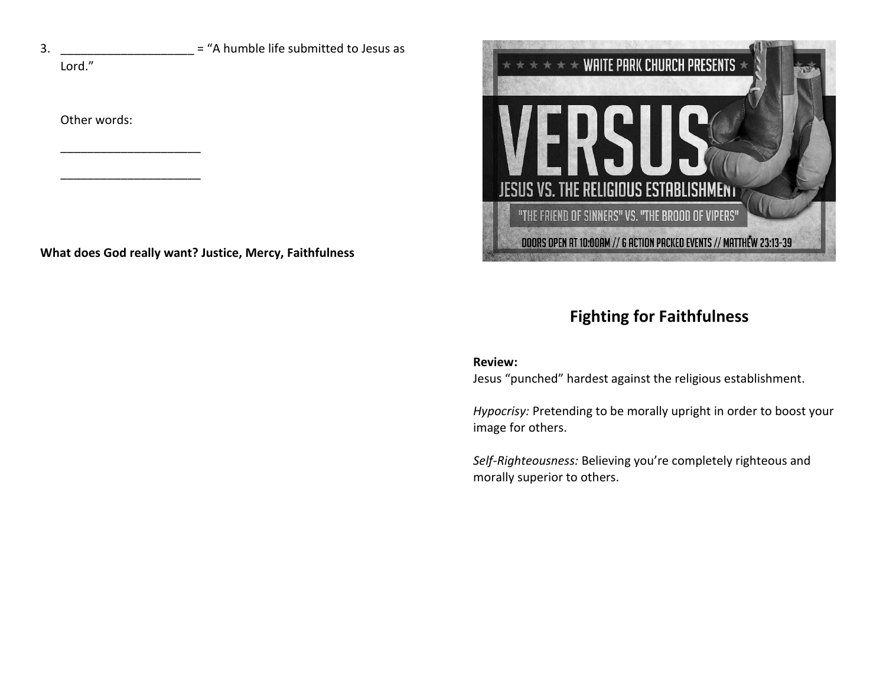$3.$  \_\_\_\_\_\_\_\_\_\_\_\_\_\_\_\_\_\_ = "A humble life submitted to Jesus as

Lord."

Other words:

\_\_\_\_\_\_\_\_\_\_\_\_\_\_\_\_\_\_\_\_\_

\_\_\_\_\_\_\_\_\_\_\_\_\_\_\_\_\_\_\_\_\_

**What does God really want? Justice, Mercy, Faithfulness**



# **Fighting for Faithfulness**

### **Review:**

Jesus "punched" hardest against the religious establishment.

*Hypocrisy:* Pretending to be morally upright in order to boost your image for others.

*Self-Righteousness:* Believing you're completely righteous and morally superior to others.